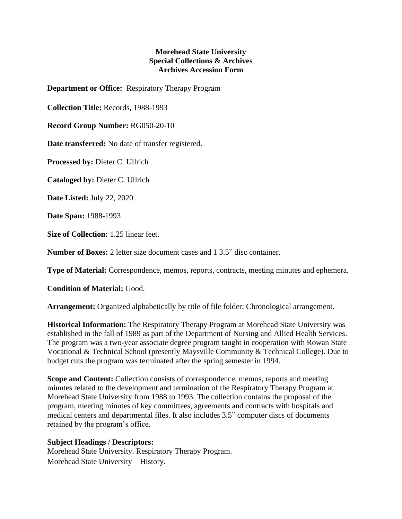## **Morehead State University Special Collections & Archives Archives Accession Form**

**Department or Office:** Respiratory Therapy Program

**Collection Title:** Records, 1988-1993

**Record Group Number:** RG050-20-10

**Date transferred:** No date of transfer registered.

**Processed by:** Dieter C. Ullrich

**Cataloged by:** Dieter C. Ullrich

**Date Listed:** July 22, 2020

**Date Span:** 1988-1993

**Size of Collection:** 1.25 linear feet.

**Number of Boxes:** 2 letter size document cases and 1 3.5" disc container.

**Type of Material:** Correspondence, memos, reports, contracts, meeting minutes and ephemera.

**Condition of Material:** Good.

**Arrangement:** Organized alphabetically by title of file folder; Chronological arrangement.

**Historical Information:** The Respiratory Therapy Program at Morehead State University was established in the fall of 1989 as part of the Department of Nursing and Allied Health Services. The program was a two-year associate degree program taught in cooperation with Rowan State Vocational & Technical School (presently Maysville Community & Technical College). Due to budget cuts the program was terminated after the spring semester in 1994.

**Scope and Content:** Collection consists of correspondence, memos, reports and meeting minutes related to the development and termination of the Respiratory Therapy Program at Morehead State University from 1988 to 1993. The collection contains the proposal of the program, meeting minutes of key committees, agreements and contracts with hospitals and medical centers and departmental files. It also includes 3.5" computer discs of documents retained by the program's office.

## **Subject Headings / Descriptors:**

Morehead State University. Respiratory Therapy Program. Morehead State University – History.